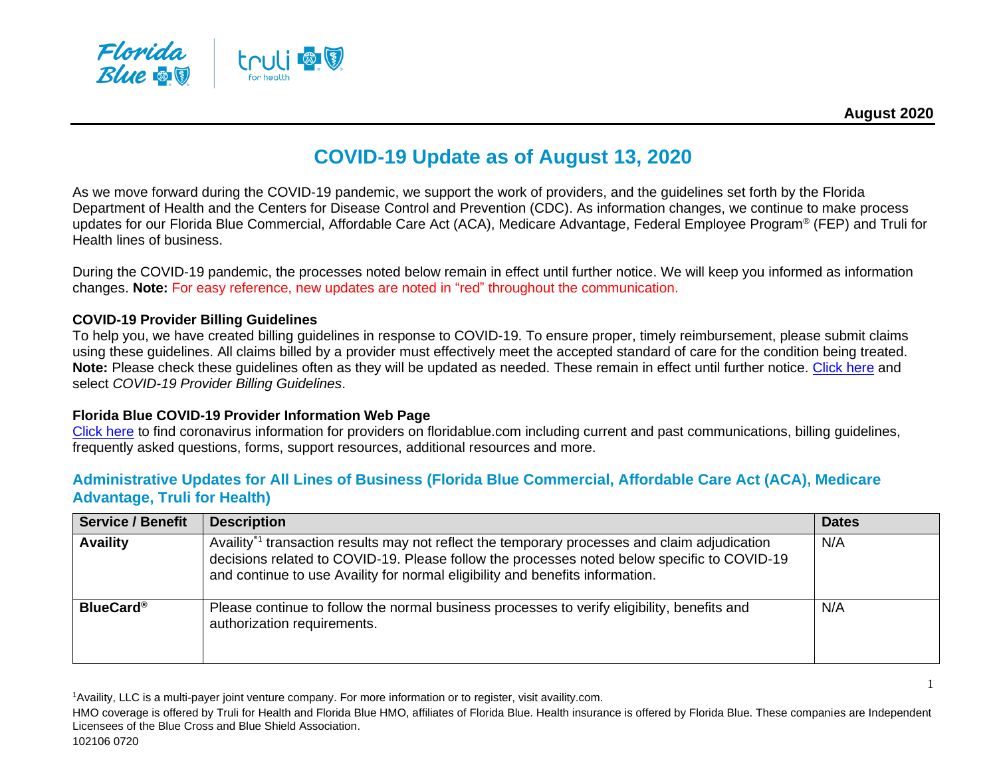

# **COVID-19 Update as of August 13, 2020**

As we move forward during the COVID-19 pandemic, we support the work of providers, and the guidelines set forth by the Florida Department of Health and the Centers for Disease Control and Prevention (CDC). As information changes, we continue to make process updates for our Florida Blue Commercial, Affordable Care Act (ACA), Medicare Advantage, Federal Employee Program® (FEP) and Truli for Health lines of business.

During the COVID-19 pandemic, the processes noted below remain in effect until further notice. We will keep you informed as information changes. **Note:** For easy reference, new updates are noted in "red" throughout the communication.

#### **COVID-19 Provider Billing Guidelines**

To help you, we have created billing guidelines in response to COVID-19. To ensure proper, timely reimbursement, please submit claims using these guidelines. All claims billed by a provider must effectively meet the accepted standard of care for the condition being treated. **Note:** Please check these guidelines often as they will be updated as needed. These remain in effect until further notice. [Click here](https://www.floridablue.com/providers/covid-19-information) and select *[COVID-19 Provider Billing Guidelines](https://www.floridablue.com/docview/covid-billing-guidelines)*.

#### **Florida Blue COVID-19 Provider Information Web Page**

[Click here](https://www.floridablue.com/providers/covid-19-information) to find coronavirus information for providers on floridablue.com including current and past communications, billing guidelines, frequently asked questions, forms, support resources, additional resources and more.

#### **Administrative Updates for All Lines of Business (Florida Blue Commercial, Affordable Care Act (ACA), Medicare Advantage, Truli for Health)**

| <b>Service / Benefit</b> | <b>Description</b>                                                                                                                                                                                                                                                                        | <b>Dates</b> |
|--------------------------|-------------------------------------------------------------------------------------------------------------------------------------------------------------------------------------------------------------------------------------------------------------------------------------------|--------------|
| <b>Availity</b>          | Availity <sup>®1</sup> transaction results may not reflect the temporary processes and claim adjudication<br>decisions related to COVID-19. Please follow the processes noted below specific to COVID-19<br>and continue to use Availity for normal eligibility and benefits information. | N/A          |
| <b>BlueCard®</b>         | Please continue to follow the normal business processes to verify eligibility, benefits and<br>authorization requirements.                                                                                                                                                                | N/A          |

<sup>1</sup>Availity, LLC is a multi-payer joint venture company. For more information or to register, visit availity.com.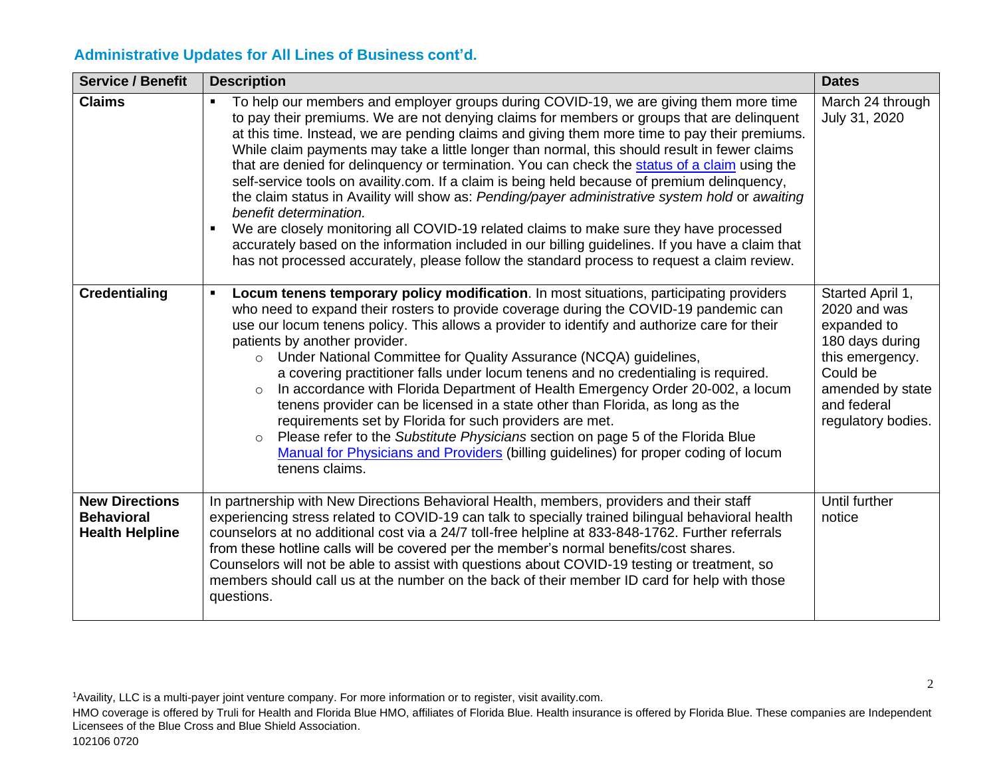#### **Administrative Updates for All Lines of Business cont'd.**

| <b>Service / Benefit</b>                                             | <b>Description</b>                                                                                                                                                                                                                                                                                                                                                                                                                                                                                                                                                                                                                                                                                                                                                                                                                                                                                                                                                                                                                 | <b>Dates</b>                                                                                                                                               |
|----------------------------------------------------------------------|------------------------------------------------------------------------------------------------------------------------------------------------------------------------------------------------------------------------------------------------------------------------------------------------------------------------------------------------------------------------------------------------------------------------------------------------------------------------------------------------------------------------------------------------------------------------------------------------------------------------------------------------------------------------------------------------------------------------------------------------------------------------------------------------------------------------------------------------------------------------------------------------------------------------------------------------------------------------------------------------------------------------------------|------------------------------------------------------------------------------------------------------------------------------------------------------------|
| <b>Claims</b>                                                        | To help our members and employer groups during COVID-19, we are giving them more time<br>to pay their premiums. We are not denying claims for members or groups that are delinquent<br>at this time. Instead, we are pending claims and giving them more time to pay their premiums.<br>While claim payments may take a little longer than normal, this should result in fewer claims<br>that are denied for delinquency or termination. You can check the status of a claim using the<br>self-service tools on availity.com. If a claim is being held because of premium delinquency,<br>the claim status in Availity will show as: Pending/payer administrative system hold or awaiting<br>benefit determination.<br>We are closely monitoring all COVID-19 related claims to make sure they have processed<br>$\blacksquare$<br>accurately based on the information included in our billing guidelines. If you have a claim that<br>has not processed accurately, please follow the standard process to request a claim review. | March 24 through<br>July 31, 2020                                                                                                                          |
| <b>Credentialing</b>                                                 | Locum tenens temporary policy modification. In most situations, participating providers<br>who need to expand their rosters to provide coverage during the COVID-19 pandemic can<br>use our locum tenens policy. This allows a provider to identify and authorize care for their<br>patients by another provider.<br>o Under National Committee for Quality Assurance (NCQA) guidelines,<br>a covering practitioner falls under locum tenens and no credentialing is required.<br>In accordance with Florida Department of Health Emergency Order 20-002, a locum<br>$\circ$<br>tenens provider can be licensed in a state other than Florida, as long as the<br>requirements set by Florida for such providers are met.<br>Please refer to the Substitute Physicians section on page 5 of the Florida Blue<br>$\circ$<br>Manual for Physicians and Providers (billing guidelines) for proper coding of locum<br>tenens claims.                                                                                                    | Started April 1,<br>2020 and was<br>expanded to<br>180 days during<br>this emergency.<br>Could be<br>amended by state<br>and federal<br>regulatory bodies. |
| <b>New Directions</b><br><b>Behavioral</b><br><b>Health Helpline</b> | In partnership with New Directions Behavioral Health, members, providers and their staff<br>experiencing stress related to COVID-19 can talk to specially trained bilingual behavioral health<br>counselors at no additional cost via a 24/7 toll-free helpline at 833-848-1762. Further referrals<br>from these hotline calls will be covered per the member's normal benefits/cost shares.<br>Counselors will not be able to assist with questions about COVID-19 testing or treatment, so<br>members should call us at the number on the back of their member ID card for help with those<br>questions.                                                                                                                                                                                                                                                                                                                                                                                                                         | Until further<br>notice                                                                                                                                    |

<sup>1</sup>Availity, LLC is a multi-payer joint venture company. For more information or to register, visit availity.com.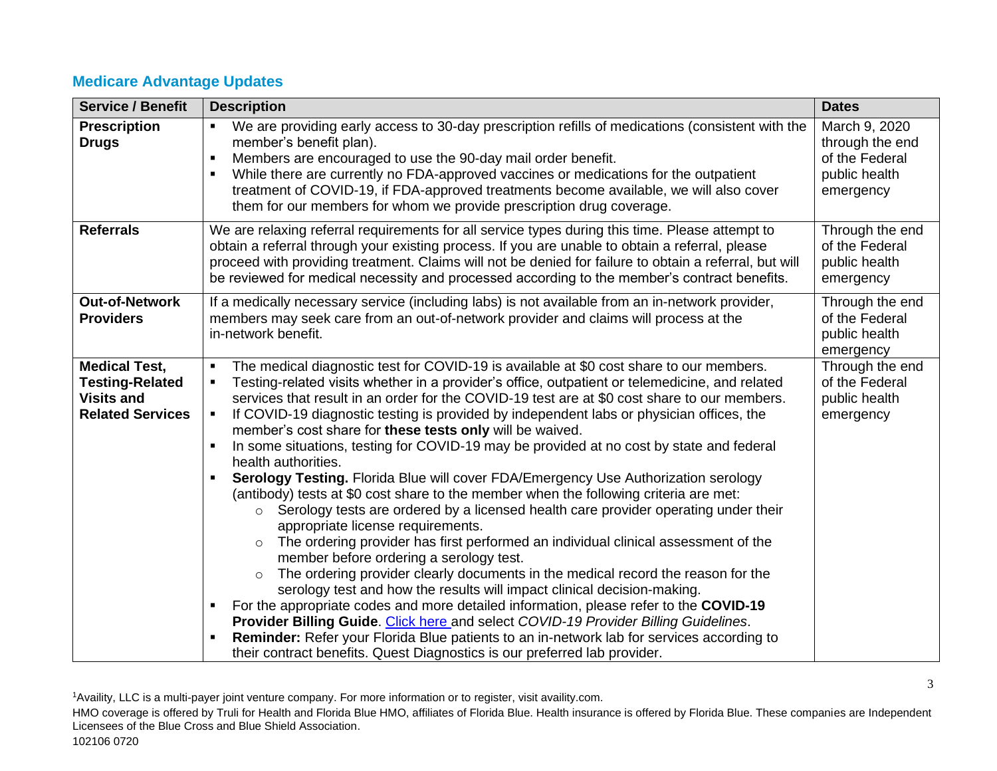# **Medicare Advantage Updates**

| <b>Service / Benefit</b>                                                                       | <b>Description</b>                                                                                                                                                                                                                                                                                                                                                                                                                                                                                                                                                                                                                                                                                                                                                                                                                                                                                                                                                                                                                                                                                                                                                                                                                                                                                                                                                                                                                                                                                                                                                                 | <b>Dates</b>                                                                     |
|------------------------------------------------------------------------------------------------|------------------------------------------------------------------------------------------------------------------------------------------------------------------------------------------------------------------------------------------------------------------------------------------------------------------------------------------------------------------------------------------------------------------------------------------------------------------------------------------------------------------------------------------------------------------------------------------------------------------------------------------------------------------------------------------------------------------------------------------------------------------------------------------------------------------------------------------------------------------------------------------------------------------------------------------------------------------------------------------------------------------------------------------------------------------------------------------------------------------------------------------------------------------------------------------------------------------------------------------------------------------------------------------------------------------------------------------------------------------------------------------------------------------------------------------------------------------------------------------------------------------------------------------------------------------------------------|----------------------------------------------------------------------------------|
| <b>Prescription</b><br><b>Drugs</b>                                                            | We are providing early access to 30-day prescription refills of medications (consistent with the<br>member's benefit plan).<br>Members are encouraged to use the 90-day mail order benefit.<br>While there are currently no FDA-approved vaccines or medications for the outpatient<br>treatment of COVID-19, if FDA-approved treatments become available, we will also cover<br>them for our members for whom we provide prescription drug coverage.                                                                                                                                                                                                                                                                                                                                                                                                                                                                                                                                                                                                                                                                                                                                                                                                                                                                                                                                                                                                                                                                                                                              | March 9, 2020<br>through the end<br>of the Federal<br>public health<br>emergency |
| <b>Referrals</b>                                                                               | We are relaxing referral requirements for all service types during this time. Please attempt to<br>obtain a referral through your existing process. If you are unable to obtain a referral, please<br>proceed with providing treatment. Claims will not be denied for failure to obtain a referral, but will<br>be reviewed for medical necessity and processed according to the member's contract benefits.                                                                                                                                                                                                                                                                                                                                                                                                                                                                                                                                                                                                                                                                                                                                                                                                                                                                                                                                                                                                                                                                                                                                                                       | Through the end<br>of the Federal<br>public health<br>emergency                  |
| <b>Out-of-Network</b><br><b>Providers</b>                                                      | If a medically necessary service (including labs) is not available from an in-network provider,<br>members may seek care from an out-of-network provider and claims will process at the<br>in-network benefit.                                                                                                                                                                                                                                                                                                                                                                                                                                                                                                                                                                                                                                                                                                                                                                                                                                                                                                                                                                                                                                                                                                                                                                                                                                                                                                                                                                     | Through the end<br>of the Federal<br>public health<br>emergency                  |
| <b>Medical Test,</b><br><b>Testing-Related</b><br><b>Visits and</b><br><b>Related Services</b> | The medical diagnostic test for COVID-19 is available at \$0 cost share to our members.<br>Testing-related visits whether in a provider's office, outpatient or telemedicine, and related<br>services that result in an order for the COVID-19 test are at \$0 cost share to our members.<br>If COVID-19 diagnostic testing is provided by independent labs or physician offices, the<br>٠<br>member's cost share for these tests only will be waived.<br>In some situations, testing for COVID-19 may be provided at no cost by state and federal<br>٠<br>health authorities.<br>Serology Testing. Florida Blue will cover FDA/Emergency Use Authorization serology<br>(antibody) tests at \$0 cost share to the member when the following criteria are met:<br>o Serology tests are ordered by a licensed health care provider operating under their<br>appropriate license requirements.<br>The ordering provider has first performed an individual clinical assessment of the<br>$\circ$<br>member before ordering a serology test.<br>The ordering provider clearly documents in the medical record the reason for the<br>$\circ$<br>serology test and how the results will impact clinical decision-making.<br>For the appropriate codes and more detailed information, please refer to the COVID-19<br>Provider Billing Guide. Click here and select COVID-19 Provider Billing Guidelines.<br><b>Reminder:</b> Refer your Florida Blue patients to an in-network lab for services according to<br>their contract benefits. Quest Diagnostics is our preferred lab provider. | Through the end<br>of the Federal<br>public health<br>emergency                  |

<sup>1</sup>Availity, LLC is a multi-payer joint venture company. For more information or to register, visit availity.com.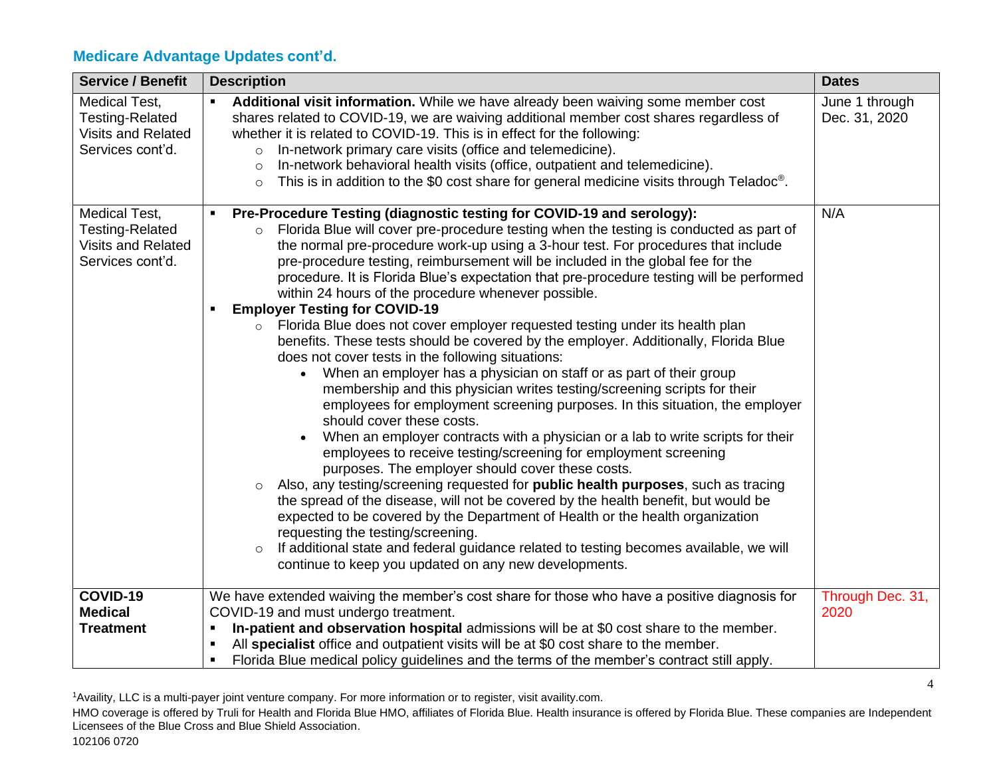| <b>Service / Benefit</b>                                                                 | <b>Description</b>                                                                                                                                                                                                                                                                                                                                                                                                                                                                                                                                                                                                                                                                                                                                                                                                                                                                                                                                                                                                                                                                                                                                                                                                                                                                                                                                                                                                                                                                                                                                                                                                                                                                                                                         | <b>Dates</b>                    |
|------------------------------------------------------------------------------------------|--------------------------------------------------------------------------------------------------------------------------------------------------------------------------------------------------------------------------------------------------------------------------------------------------------------------------------------------------------------------------------------------------------------------------------------------------------------------------------------------------------------------------------------------------------------------------------------------------------------------------------------------------------------------------------------------------------------------------------------------------------------------------------------------------------------------------------------------------------------------------------------------------------------------------------------------------------------------------------------------------------------------------------------------------------------------------------------------------------------------------------------------------------------------------------------------------------------------------------------------------------------------------------------------------------------------------------------------------------------------------------------------------------------------------------------------------------------------------------------------------------------------------------------------------------------------------------------------------------------------------------------------------------------------------------------------------------------------------------------------|---------------------------------|
| Medical Test,<br><b>Testing-Related</b><br>Visits and Related<br>Services cont'd.        | Additional visit information. While we have already been waiving some member cost<br>$\blacksquare$<br>shares related to COVID-19, we are waiving additional member cost shares regardless of<br>whether it is related to COVID-19. This is in effect for the following:<br>In-network primary care visits (office and telemedicine).<br>$\circ$<br>In-network behavioral health visits (office, outpatient and telemedicine).<br>$\circ$<br>This is in addition to the \$0 cost share for general medicine visits through Teladoc <sup>®</sup> .<br>$\circ$                                                                                                                                                                                                                                                                                                                                                                                                                                                                                                                                                                                                                                                                                                                                                                                                                                                                                                                                                                                                                                                                                                                                                                               | June 1 through<br>Dec. 31, 2020 |
| Medical Test,<br><b>Testing-Related</b><br><b>Visits and Related</b><br>Services cont'd. | Pre-Procedure Testing (diagnostic testing for COVID-19 and serology):<br>Florida Blue will cover pre-procedure testing when the testing is conducted as part of<br>$\circ$<br>the normal pre-procedure work-up using a 3-hour test. For procedures that include<br>pre-procedure testing, reimbursement will be included in the global fee for the<br>procedure. It is Florida Blue's expectation that pre-procedure testing will be performed<br>within 24 hours of the procedure whenever possible.<br><b>Employer Testing for COVID-19</b><br>Florida Blue does not cover employer requested testing under its health plan<br>$\circ$<br>benefits. These tests should be covered by the employer. Additionally, Florida Blue<br>does not cover tests in the following situations:<br>• When an employer has a physician on staff or as part of their group<br>membership and this physician writes testing/screening scripts for their<br>employees for employment screening purposes. In this situation, the employer<br>should cover these costs.<br>When an employer contracts with a physician or a lab to write scripts for their<br>employees to receive testing/screening for employment screening<br>purposes. The employer should cover these costs.<br>Also, any testing/screening requested for public health purposes, such as tracing<br>$\circ$<br>the spread of the disease, will not be covered by the health benefit, but would be<br>expected to be covered by the Department of Health or the health organization<br>requesting the testing/screening.<br>If additional state and federal guidance related to testing becomes available, we will<br>$\circ$<br>continue to keep you updated on any new developments. | N/A                             |
| COVID-19                                                                                 | We have extended waiving the member's cost share for those who have a positive diagnosis for                                                                                                                                                                                                                                                                                                                                                                                                                                                                                                                                                                                                                                                                                                                                                                                                                                                                                                                                                                                                                                                                                                                                                                                                                                                                                                                                                                                                                                                                                                                                                                                                                                               | Through Dec. 31,                |
| <b>Medical</b>                                                                           | COVID-19 and must undergo treatment.<br>$\blacksquare$                                                                                                                                                                                                                                                                                                                                                                                                                                                                                                                                                                                                                                                                                                                                                                                                                                                                                                                                                                                                                                                                                                                                                                                                                                                                                                                                                                                                                                                                                                                                                                                                                                                                                     | 2020                            |
| <b>Treatment</b>                                                                         | In-patient and observation hospital admissions will be at \$0 cost share to the member.<br>All specialist office and outpatient visits will be at \$0 cost share to the member.                                                                                                                                                                                                                                                                                                                                                                                                                                                                                                                                                                                                                                                                                                                                                                                                                                                                                                                                                                                                                                                                                                                                                                                                                                                                                                                                                                                                                                                                                                                                                            |                                 |
|                                                                                          | Florida Blue medical policy guidelines and the terms of the member's contract still apply.<br>٠                                                                                                                                                                                                                                                                                                                                                                                                                                                                                                                                                                                                                                                                                                                                                                                                                                                                                                                                                                                                                                                                                                                                                                                                                                                                                                                                                                                                                                                                                                                                                                                                                                            |                                 |

<sup>1</sup>Availity, LLC is a multi-payer joint venture company. For more information or to register, visit availity.com.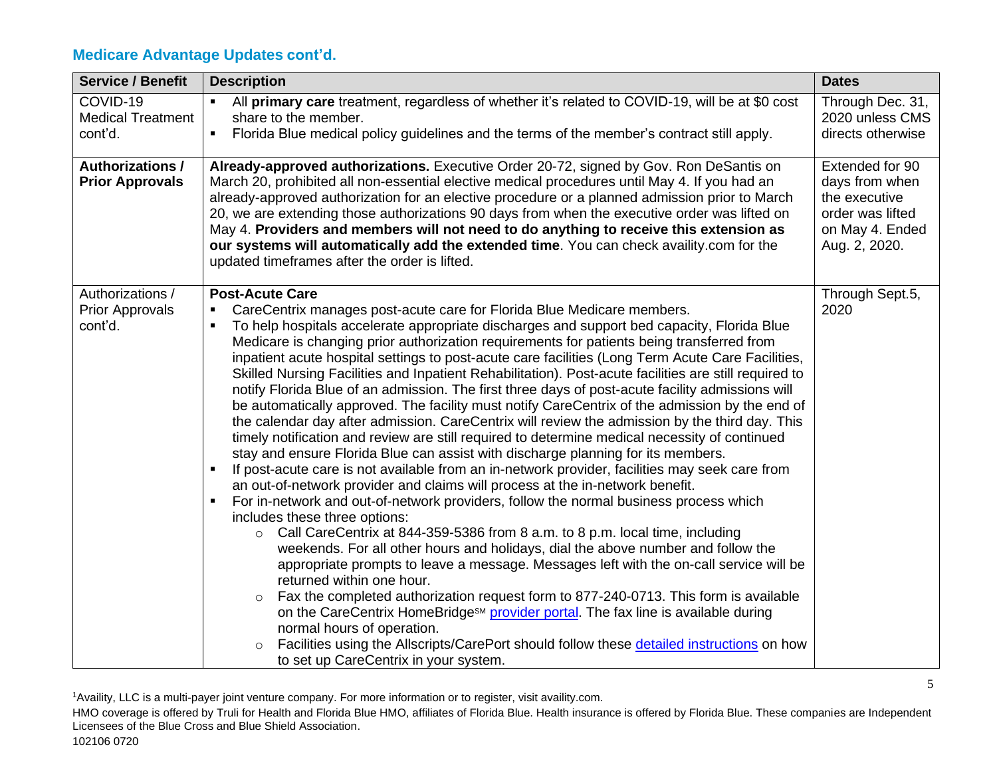| <b>Service / Benefit</b>                              | <b>Description</b>                                                                                                                                                                                                                                                                                                                                                                                                                                                                                                                                                                                                                                                                                                                                                                                                                                                                                                                                                                                                                                                                                                                                                                                                                                                                                                                                                                                                                                                                                                                                                                                                                                                                                                                                                                                                                                                                                                                                                                                                     | <b>Dates</b>                                                                                               |
|-------------------------------------------------------|------------------------------------------------------------------------------------------------------------------------------------------------------------------------------------------------------------------------------------------------------------------------------------------------------------------------------------------------------------------------------------------------------------------------------------------------------------------------------------------------------------------------------------------------------------------------------------------------------------------------------------------------------------------------------------------------------------------------------------------------------------------------------------------------------------------------------------------------------------------------------------------------------------------------------------------------------------------------------------------------------------------------------------------------------------------------------------------------------------------------------------------------------------------------------------------------------------------------------------------------------------------------------------------------------------------------------------------------------------------------------------------------------------------------------------------------------------------------------------------------------------------------------------------------------------------------------------------------------------------------------------------------------------------------------------------------------------------------------------------------------------------------------------------------------------------------------------------------------------------------------------------------------------------------------------------------------------------------------------------------------------------------|------------------------------------------------------------------------------------------------------------|
| COVID-19                                              | All primary care treatment, regardless of whether it's related to COVID-19, will be at \$0 cost<br>$\blacksquare$                                                                                                                                                                                                                                                                                                                                                                                                                                                                                                                                                                                                                                                                                                                                                                                                                                                                                                                                                                                                                                                                                                                                                                                                                                                                                                                                                                                                                                                                                                                                                                                                                                                                                                                                                                                                                                                                                                      | Through Dec. 31,                                                                                           |
| <b>Medical Treatment</b><br>cont'd.                   | share to the member.<br>$\blacksquare$<br>Florida Blue medical policy guidelines and the terms of the member's contract still apply.                                                                                                                                                                                                                                                                                                                                                                                                                                                                                                                                                                                                                                                                                                                                                                                                                                                                                                                                                                                                                                                                                                                                                                                                                                                                                                                                                                                                                                                                                                                                                                                                                                                                                                                                                                                                                                                                                   | 2020 unless CMS<br>directs otherwise                                                                       |
|                                                       |                                                                                                                                                                                                                                                                                                                                                                                                                                                                                                                                                                                                                                                                                                                                                                                                                                                                                                                                                                                                                                                                                                                                                                                                                                                                                                                                                                                                                                                                                                                                                                                                                                                                                                                                                                                                                                                                                                                                                                                                                        |                                                                                                            |
| <b>Authorizations /</b><br><b>Prior Approvals</b>     | Already-approved authorizations. Executive Order 20-72, signed by Gov. Ron DeSantis on<br>March 20, prohibited all non-essential elective medical procedures until May 4. If you had an<br>already-approved authorization for an elective procedure or a planned admission prior to March<br>20, we are extending those authorizations 90 days from when the executive order was lifted on<br>May 4. Providers and members will not need to do anything to receive this extension as<br>our systems will automatically add the extended time. You can check availity.com for the<br>updated timeframes after the order is lifted.                                                                                                                                                                                                                                                                                                                                                                                                                                                                                                                                                                                                                                                                                                                                                                                                                                                                                                                                                                                                                                                                                                                                                                                                                                                                                                                                                                                      | Extended for 90<br>days from when<br>the executive<br>order was lifted<br>on May 4. Ended<br>Aug. 2, 2020. |
| Authorizations /<br><b>Prior Approvals</b><br>cont'd. | <b>Post-Acute Care</b><br>CareCentrix manages post-acute care for Florida Blue Medicare members.<br>٠<br>To help hospitals accelerate appropriate discharges and support bed capacity, Florida Blue<br>Medicare is changing prior authorization requirements for patients being transferred from<br>inpatient acute hospital settings to post-acute care facilities (Long Term Acute Care Facilities,<br>Skilled Nursing Facilities and Inpatient Rehabilitation). Post-acute facilities are still required to<br>notify Florida Blue of an admission. The first three days of post-acute facility admissions will<br>be automatically approved. The facility must notify CareCentrix of the admission by the end of<br>the calendar day after admission. CareCentrix will review the admission by the third day. This<br>timely notification and review are still required to determine medical necessity of continued<br>stay and ensure Florida Blue can assist with discharge planning for its members.<br>If post-acute care is not available from an in-network provider, facilities may seek care from<br>٠<br>an out-of-network provider and claims will process at the in-network benefit.<br>For in-network and out-of-network providers, follow the normal business process which<br>includes these three options:<br>Call CareCentrix at 844-359-5386 from 8 a.m. to 8 p.m. local time, including<br>$\circ$<br>weekends. For all other hours and holidays, dial the above number and follow the<br>appropriate prompts to leave a message. Messages left with the on-call service will be<br>returned within one hour.<br>Fax the completed authorization request form to 877-240-0713. This form is available<br>$\circ$<br>on the CareCentrix HomeBridge <sup>SM</sup> provider portal. The fax line is available during<br>normal hours of operation.<br>Facilities using the Allscripts/CarePort should follow these detailed instructions on how<br>$\circ$<br>to set up CareCentrix in your system. | Through Sept.5,<br>2020                                                                                    |

<sup>1</sup>Availity, LLC is a multi-payer joint venture company. For more information or to register, visit availity.com.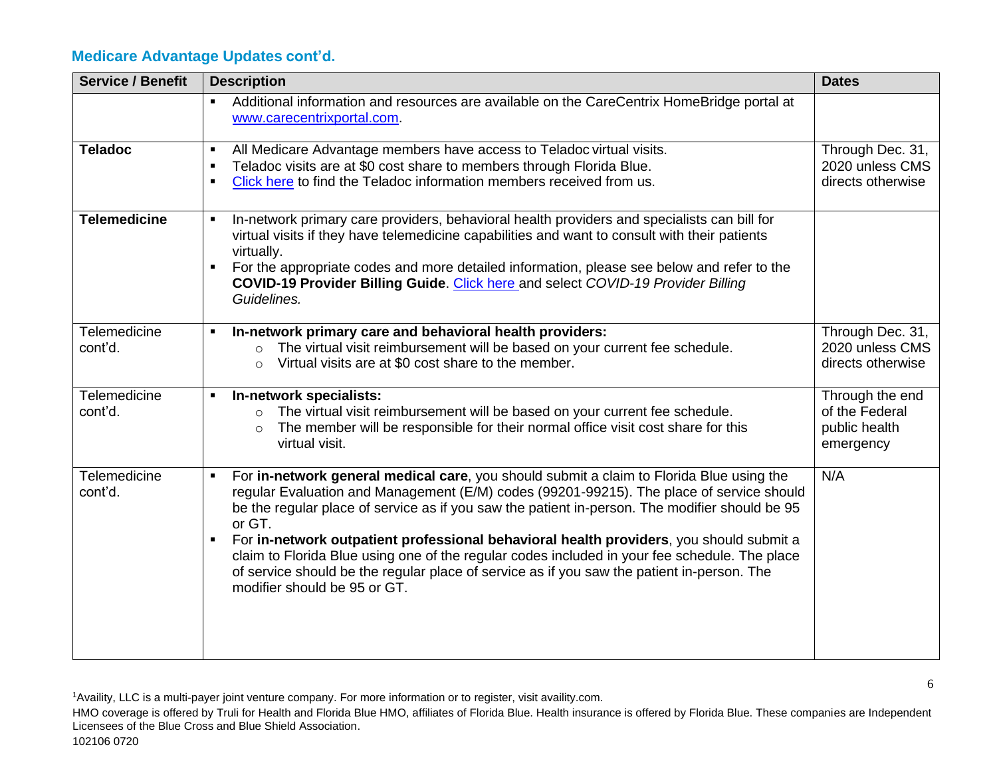| <b>Service / Benefit</b>       | <b>Description</b>                                                                                                                                                                                                                                                                                                                                                                                                                                                                                                                                                                                                                           | <b>Dates</b>                                                    |
|--------------------------------|----------------------------------------------------------------------------------------------------------------------------------------------------------------------------------------------------------------------------------------------------------------------------------------------------------------------------------------------------------------------------------------------------------------------------------------------------------------------------------------------------------------------------------------------------------------------------------------------------------------------------------------------|-----------------------------------------------------------------|
|                                | Additional information and resources are available on the CareCentrix HomeBridge portal at<br>$\blacksquare$<br>www.carecentrixportal.com.                                                                                                                                                                                                                                                                                                                                                                                                                                                                                                   |                                                                 |
| <b>Teladoc</b>                 | All Medicare Advantage members have access to Teladoc virtual visits.<br>$\blacksquare$<br>Teladoc visits are at \$0 cost share to members through Florida Blue.<br>$\blacksquare$<br>Click here to find the Teladoc information members received from us.                                                                                                                                                                                                                                                                                                                                                                                   | Through Dec. 31,<br>2020 unless CMS<br>directs otherwise        |
| <b>Telemedicine</b>            | In-network primary care providers, behavioral health providers and specialists can bill for<br>$\blacksquare$<br>virtual visits if they have telemedicine capabilities and want to consult with their patients<br>virtually.<br>For the appropriate codes and more detailed information, please see below and refer to the<br>COVID-19 Provider Billing Guide. Click here and select COVID-19 Provider Billing<br>Guidelines.                                                                                                                                                                                                                |                                                                 |
| <b>Telemedicine</b><br>cont'd. | In-network primary care and behavioral health providers:<br>The virtual visit reimbursement will be based on your current fee schedule.<br>$\circ$<br>Virtual visits are at \$0 cost share to the member.<br>$\circ$                                                                                                                                                                                                                                                                                                                                                                                                                         | Through Dec. 31,<br>2020 unless CMS<br>directs otherwise        |
| Telemedicine<br>cont'd.        | In-network specialists:<br>The virtual visit reimbursement will be based on your current fee schedule.<br>$\circ$<br>The member will be responsible for their normal office visit cost share for this<br>$\circ$<br>virtual visit.                                                                                                                                                                                                                                                                                                                                                                                                           | Through the end<br>of the Federal<br>public health<br>emergency |
| Telemedicine<br>cont'd.        | For in-network general medical care, you should submit a claim to Florida Blue using the<br>$\blacksquare$<br>regular Evaluation and Management (E/M) codes (99201-99215). The place of service should<br>be the regular place of service as if you saw the patient in-person. The modifier should be 95<br>or GT.<br>For in-network outpatient professional behavioral health providers, you should submit a<br>claim to Florida Blue using one of the regular codes included in your fee schedule. The place<br>of service should be the regular place of service as if you saw the patient in-person. The<br>modifier should be 95 or GT. | N/A                                                             |

<sup>1</sup>Availity, LLC is a multi-payer joint venture company. For more information or to register, visit availity.com.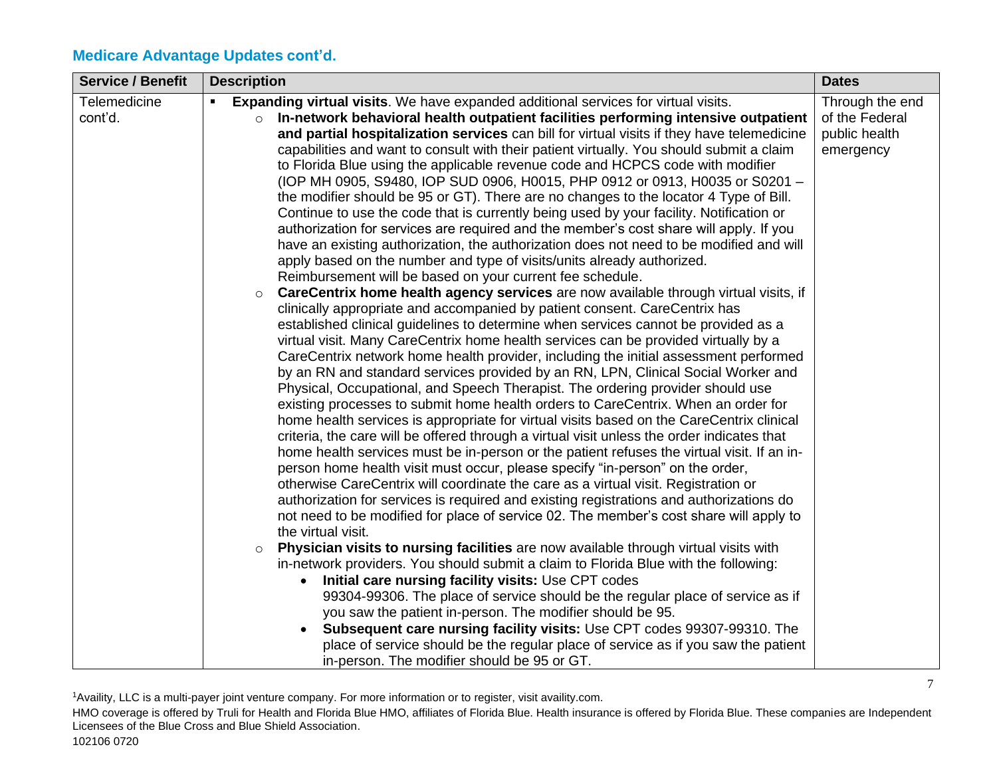| <b>Service / Benefit</b> | <b>Description</b>                                                                                                                                                                                                                                                                                                                                                                                                                                                                                                                                                                                                                                                                                                                                                                                                                                                                                                                                                                                                                                                                                                                                                                                                                                                                                                                                                                                                                                                                                                                                                                                                                                                                                                                                                                                                                                                                                                                                                                                                                                                                                                                                                                                                                                                                                                                                                                                                                                                                                                                                                                                                                                                                                                                                                                                                                                                                                                                                                                                                                                                                | <b>Dates</b>                                                    |
|--------------------------|-----------------------------------------------------------------------------------------------------------------------------------------------------------------------------------------------------------------------------------------------------------------------------------------------------------------------------------------------------------------------------------------------------------------------------------------------------------------------------------------------------------------------------------------------------------------------------------------------------------------------------------------------------------------------------------------------------------------------------------------------------------------------------------------------------------------------------------------------------------------------------------------------------------------------------------------------------------------------------------------------------------------------------------------------------------------------------------------------------------------------------------------------------------------------------------------------------------------------------------------------------------------------------------------------------------------------------------------------------------------------------------------------------------------------------------------------------------------------------------------------------------------------------------------------------------------------------------------------------------------------------------------------------------------------------------------------------------------------------------------------------------------------------------------------------------------------------------------------------------------------------------------------------------------------------------------------------------------------------------------------------------------------------------------------------------------------------------------------------------------------------------------------------------------------------------------------------------------------------------------------------------------------------------------------------------------------------------------------------------------------------------------------------------------------------------------------------------------------------------------------------------------------------------------------------------------------------------------------------------------------------------------------------------------------------------------------------------------------------------------------------------------------------------------------------------------------------------------------------------------------------------------------------------------------------------------------------------------------------------------------------------------------------------------------------------------------------------|-----------------------------------------------------------------|
| Telemedicine<br>cont'd.  | <b>Expanding virtual visits.</b> We have expanded additional services for virtual visits.<br>In-network behavioral health outpatient facilities performing intensive outpatient<br>$\circ$<br>and partial hospitalization services can bill for virtual visits if they have telemedicine<br>capabilities and want to consult with their patient virtually. You should submit a claim<br>to Florida Blue using the applicable revenue code and HCPCS code with modifier<br>(IOP MH 0905, S9480, IOP SUD 0906, H0015, PHP 0912 or 0913, H0035 or S0201 -<br>the modifier should be 95 or GT). There are no changes to the locator 4 Type of Bill.<br>Continue to use the code that is currently being used by your facility. Notification or<br>authorization for services are required and the member's cost share will apply. If you<br>have an existing authorization, the authorization does not need to be modified and will<br>apply based on the number and type of visits/units already authorized.<br>Reimbursement will be based on your current fee schedule.<br>CareCentrix home health agency services are now available through virtual visits, if<br>$\circ$<br>clinically appropriate and accompanied by patient consent. CareCentrix has<br>established clinical guidelines to determine when services cannot be provided as a<br>virtual visit. Many CareCentrix home health services can be provided virtually by a<br>CareCentrix network home health provider, including the initial assessment performed<br>by an RN and standard services provided by an RN, LPN, Clinical Social Worker and<br>Physical, Occupational, and Speech Therapist. The ordering provider should use<br>existing processes to submit home health orders to CareCentrix. When an order for<br>home health services is appropriate for virtual visits based on the CareCentrix clinical<br>criteria, the care will be offered through a virtual visit unless the order indicates that<br>home health services must be in-person or the patient refuses the virtual visit. If an in-<br>person home health visit must occur, please specify "in-person" on the order,<br>otherwise CareCentrix will coordinate the care as a virtual visit. Registration or<br>authorization for services is required and existing registrations and authorizations do<br>not need to be modified for place of service 02. The member's cost share will apply to<br>the virtual visit.<br>Physician visits to nursing facilities are now available through virtual visits with<br>$\circ$<br>in-network providers. You should submit a claim to Florida Blue with the following:<br>Initial care nursing facility visits: Use CPT codes<br>99304-99306. The place of service should be the regular place of service as if<br>you saw the patient in-person. The modifier should be 95.<br>Subsequent care nursing facility visits: Use CPT codes 99307-99310. The<br>place of service should be the regular place of service as if you saw the patient<br>in-person. The modifier should be 95 or GT. | Through the end<br>of the Federal<br>public health<br>emergency |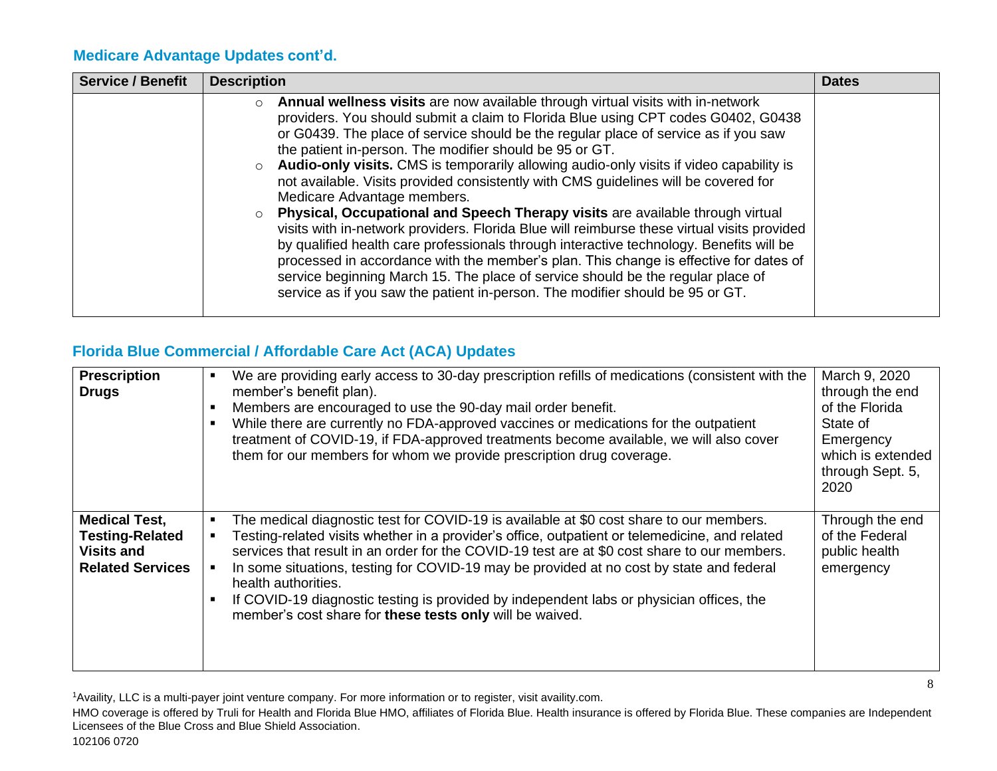| <b>Service / Benefit</b> | <b>Description</b>                                                                                                                                                                                                                                                                                                                                                                                                                                                                                                                                                                                                                                                                                                                                                                                                                                                                                                                                                                                                                                                                          | <b>Dates</b> |
|--------------------------|---------------------------------------------------------------------------------------------------------------------------------------------------------------------------------------------------------------------------------------------------------------------------------------------------------------------------------------------------------------------------------------------------------------------------------------------------------------------------------------------------------------------------------------------------------------------------------------------------------------------------------------------------------------------------------------------------------------------------------------------------------------------------------------------------------------------------------------------------------------------------------------------------------------------------------------------------------------------------------------------------------------------------------------------------------------------------------------------|--------------|
|                          | Annual wellness visits are now available through virtual visits with in-network<br>$\circ$<br>providers. You should submit a claim to Florida Blue using CPT codes G0402, G0438<br>or G0439. The place of service should be the regular place of service as if you saw<br>the patient in-person. The modifier should be 95 or GT.<br>Audio-only visits. CMS is temporarily allowing audio-only visits if video capability is<br>not available. Visits provided consistently with CMS guidelines will be covered for<br>Medicare Advantage members.<br>Physical, Occupational and Speech Therapy visits are available through virtual<br>visits with in-network providers. Florida Blue will reimburse these virtual visits provided<br>by qualified health care professionals through interactive technology. Benefits will be<br>processed in accordance with the member's plan. This change is effective for dates of<br>service beginning March 15. The place of service should be the regular place of<br>service as if you saw the patient in-person. The modifier should be 95 or GT. |              |

#### **Florida Blue Commercial / Affordable Care Act (ACA) Updates**

| <b>Prescription</b><br><b>Drugs</b>                                                            | We are providing early access to 30-day prescription refills of medications (consistent with the<br>$\blacksquare$<br>member's benefit plan).<br>Members are encouraged to use the 90-day mail order benefit.<br>п<br>While there are currently no FDA-approved vaccines or medications for the outpatient<br>$\blacksquare$<br>treatment of COVID-19, if FDA-approved treatments become available, we will also cover<br>them for our members for whom we provide prescription drug coverage.                                                                                 | March 9, 2020<br>through the end<br>of the Florida<br>State of<br>Emergency<br>which is extended<br>through Sept. 5,<br>2020 |
|------------------------------------------------------------------------------------------------|--------------------------------------------------------------------------------------------------------------------------------------------------------------------------------------------------------------------------------------------------------------------------------------------------------------------------------------------------------------------------------------------------------------------------------------------------------------------------------------------------------------------------------------------------------------------------------|------------------------------------------------------------------------------------------------------------------------------|
| <b>Medical Test,</b><br><b>Testing-Related</b><br><b>Visits and</b><br><b>Related Services</b> | The medical diagnostic test for COVID-19 is available at \$0 cost share to our members.<br>Testing-related visits whether in a provider's office, outpatient or telemedicine, and related<br>services that result in an order for the COVID-19 test are at \$0 cost share to our members.<br>In some situations, testing for COVID-19 may be provided at no cost by state and federal<br>٠<br>health authorities.<br>If COVID-19 diagnostic testing is provided by independent labs or physician offices, the<br>٠<br>member's cost share for these tests only will be waived. | Through the end<br>of the Federal<br>public health<br>emergency                                                              |

<sup>1</sup>Availity, LLC is a multi-payer joint venture company. For more information or to register, visit availity.com.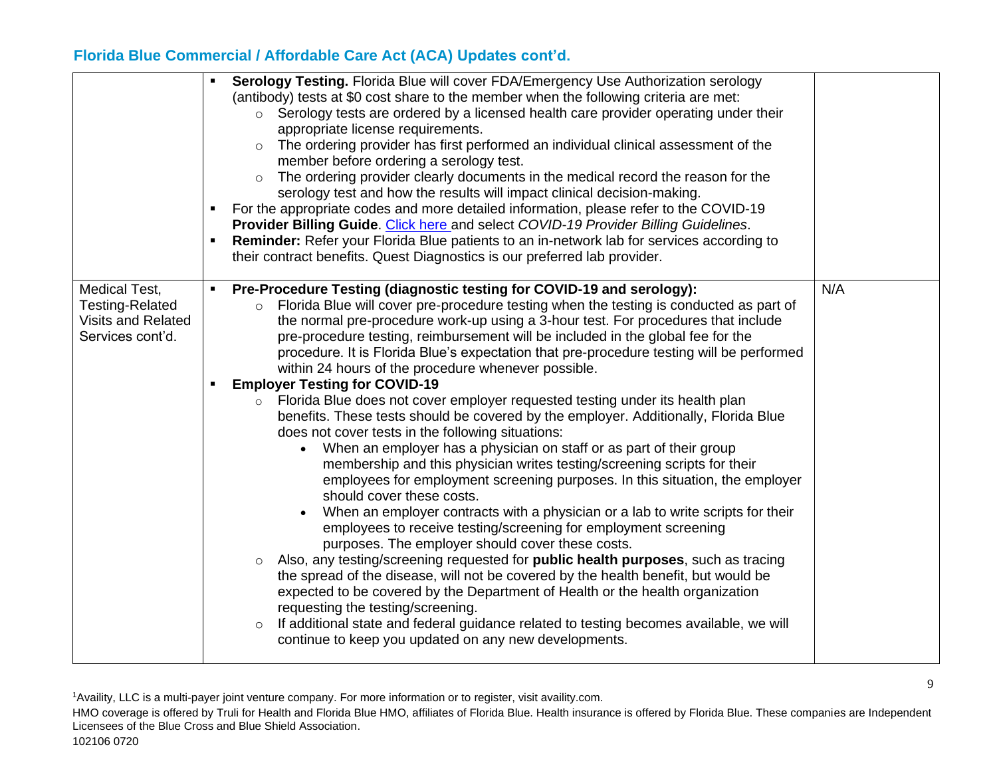|                                                                                          | Serology Testing. Florida Blue will cover FDA/Emergency Use Authorization serology<br>(antibody) tests at \$0 cost share to the member when the following criteria are met:<br>$\circ$ Serology tests are ordered by a licensed health care provider operating under their<br>appropriate license requirements.<br>The ordering provider has first performed an individual clinical assessment of the<br>$\circ$<br>member before ordering a serology test.<br>The ordering provider clearly documents in the medical record the reason for the<br>$\circ$<br>serology test and how the results will impact clinical decision-making.<br>For the appropriate codes and more detailed information, please refer to the COVID-19<br>Provider Billing Guide. Click here and select COVID-19 Provider Billing Guidelines.<br>Reminder: Refer your Florida Blue patients to an in-network lab for services according to<br>٠<br>their contract benefits. Quest Diagnostics is our preferred lab provider.                                                                                                                                                                                                                                                                                                                                                                                                                                                                                                                                                                                                                                                                                                                                |     |
|------------------------------------------------------------------------------------------|-------------------------------------------------------------------------------------------------------------------------------------------------------------------------------------------------------------------------------------------------------------------------------------------------------------------------------------------------------------------------------------------------------------------------------------------------------------------------------------------------------------------------------------------------------------------------------------------------------------------------------------------------------------------------------------------------------------------------------------------------------------------------------------------------------------------------------------------------------------------------------------------------------------------------------------------------------------------------------------------------------------------------------------------------------------------------------------------------------------------------------------------------------------------------------------------------------------------------------------------------------------------------------------------------------------------------------------------------------------------------------------------------------------------------------------------------------------------------------------------------------------------------------------------------------------------------------------------------------------------------------------------------------------------------------------------------------------------------------------|-----|
| Medical Test,<br><b>Testing-Related</b><br><b>Visits and Related</b><br>Services cont'd. | Pre-Procedure Testing (diagnostic testing for COVID-19 and serology):<br>Florida Blue will cover pre-procedure testing when the testing is conducted as part of<br>$\circ$<br>the normal pre-procedure work-up using a 3-hour test. For procedures that include<br>pre-procedure testing, reimbursement will be included in the global fee for the<br>procedure. It is Florida Blue's expectation that pre-procedure testing will be performed<br>within 24 hours of the procedure whenever possible.<br><b>Employer Testing for COVID-19</b><br>٠<br>Florida Blue does not cover employer requested testing under its health plan<br>$\circ$<br>benefits. These tests should be covered by the employer. Additionally, Florida Blue<br>does not cover tests in the following situations:<br>• When an employer has a physician on staff or as part of their group<br>membership and this physician writes testing/screening scripts for their<br>employees for employment screening purposes. In this situation, the employer<br>should cover these costs.<br>When an employer contracts with a physician or a lab to write scripts for their<br>employees to receive testing/screening for employment screening<br>purposes. The employer should cover these costs.<br>o Also, any testing/screening requested for <b>public health purposes</b> , such as tracing<br>the spread of the disease, will not be covered by the health benefit, but would be<br>expected to be covered by the Department of Health or the health organization<br>requesting the testing/screening.<br>If additional state and federal guidance related to testing becomes available, we will<br>continue to keep you updated on any new developments. | N/A |

<sup>1</sup>Availity, LLC is a multi-payer joint venture company. For more information or to register, visit availity.com.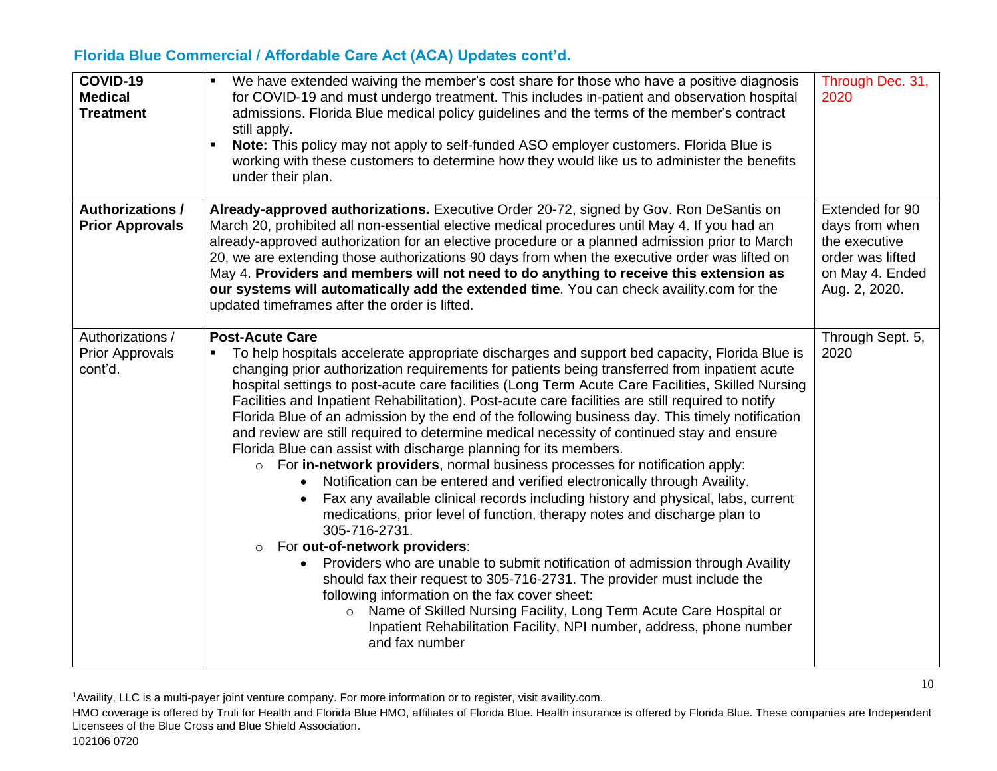| COVID-19<br><b>Medical</b><br><b>Treatment</b>        | We have extended waiving the member's cost share for those who have a positive diagnosis<br>for COVID-19 and must undergo treatment. This includes in-patient and observation hospital<br>admissions. Florida Blue medical policy guidelines and the terms of the member's contract<br>still apply.<br>Note: This policy may not apply to self-funded ASO employer customers. Florida Blue is<br>working with these customers to determine how they would like us to administer the benefits<br>under their plan.                                                                                                                                                                                                                                                                                                                                                                                                                                                                                                                                                                                                                                                                                                                                                                                                                                                                                                                                                                                            | Through Dec. 31,<br>2020                                                                                   |
|-------------------------------------------------------|--------------------------------------------------------------------------------------------------------------------------------------------------------------------------------------------------------------------------------------------------------------------------------------------------------------------------------------------------------------------------------------------------------------------------------------------------------------------------------------------------------------------------------------------------------------------------------------------------------------------------------------------------------------------------------------------------------------------------------------------------------------------------------------------------------------------------------------------------------------------------------------------------------------------------------------------------------------------------------------------------------------------------------------------------------------------------------------------------------------------------------------------------------------------------------------------------------------------------------------------------------------------------------------------------------------------------------------------------------------------------------------------------------------------------------------------------------------------------------------------------------------|------------------------------------------------------------------------------------------------------------|
| <b>Authorizations /</b><br><b>Prior Approvals</b>     | Already-approved authorizations. Executive Order 20-72, signed by Gov. Ron DeSantis on<br>March 20, prohibited all non-essential elective medical procedures until May 4. If you had an<br>already-approved authorization for an elective procedure or a planned admission prior to March<br>20, we are extending those authorizations 90 days from when the executive order was lifted on<br>May 4. Providers and members will not need to do anything to receive this extension as<br>our systems will automatically add the extended time. You can check availity.com for the<br>updated timeframes after the order is lifted.                                                                                                                                                                                                                                                                                                                                                                                                                                                                                                                                                                                                                                                                                                                                                                                                                                                                            | Extended for 90<br>days from when<br>the executive<br>order was lifted<br>on May 4. Ended<br>Aug. 2, 2020. |
| Authorizations /<br><b>Prior Approvals</b><br>cont'd. | <b>Post-Acute Care</b><br>To help hospitals accelerate appropriate discharges and support bed capacity, Florida Blue is<br>$\blacksquare$<br>changing prior authorization requirements for patients being transferred from inpatient acute<br>hospital settings to post-acute care facilities (Long Term Acute Care Facilities, Skilled Nursing<br>Facilities and Inpatient Rehabilitation). Post-acute care facilities are still required to notify<br>Florida Blue of an admission by the end of the following business day. This timely notification<br>and review are still required to determine medical necessity of continued stay and ensure<br>Florida Blue can assist with discharge planning for its members.<br>For in-network providers, normal business processes for notification apply:<br>$\circ$<br>Notification can be entered and verified electronically through Availity.<br>Fax any available clinical records including history and physical, labs, current<br>medications, prior level of function, therapy notes and discharge plan to<br>305-716-2731.<br>For out-of-network providers:<br>$\circ$<br>Providers who are unable to submit notification of admission through Availity<br>should fax their request to 305-716-2731. The provider must include the<br>following information on the fax cover sheet:<br>o Name of Skilled Nursing Facility, Long Term Acute Care Hospital or<br>Inpatient Rehabilitation Facility, NPI number, address, phone number<br>and fax number | Through Sept. 5,<br>2020                                                                                   |

<sup>1</sup>Availity, LLC is a multi-payer joint venture company. For more information or to register, visit availity.com.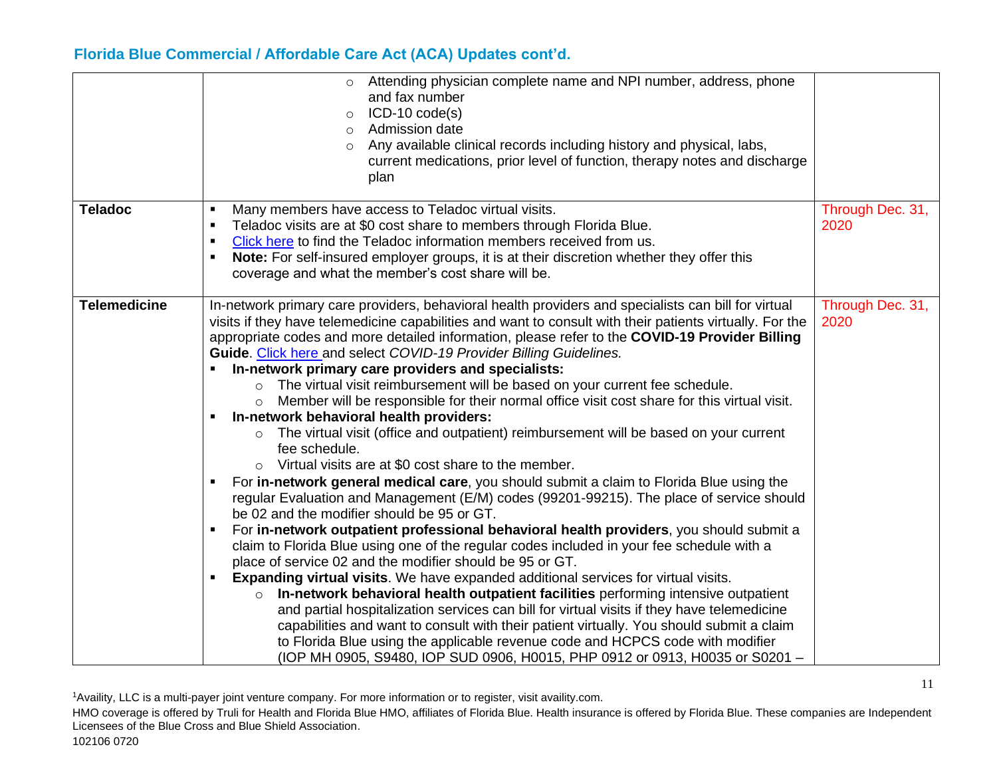|                     | o Attending physician complete name and NPI number, address, phone<br>and fax number<br>$ICD-10 code(s)$<br>$\circ$<br>Admission date<br>$\circ$<br>Any available clinical records including history and physical, labs,<br>$\circ$<br>current medications, prior level of function, therapy notes and discharge<br>plan                                                                                                                                                                                                                                                                                                                                                                                                                                                                                                                                                                                                                                                                                                                                                                                                                                                                                                                                                                                                                                                                                                                                                                                                                                                                                                                                                                                                                                                                                                                                                                                                                                              |                          |
|---------------------|-----------------------------------------------------------------------------------------------------------------------------------------------------------------------------------------------------------------------------------------------------------------------------------------------------------------------------------------------------------------------------------------------------------------------------------------------------------------------------------------------------------------------------------------------------------------------------------------------------------------------------------------------------------------------------------------------------------------------------------------------------------------------------------------------------------------------------------------------------------------------------------------------------------------------------------------------------------------------------------------------------------------------------------------------------------------------------------------------------------------------------------------------------------------------------------------------------------------------------------------------------------------------------------------------------------------------------------------------------------------------------------------------------------------------------------------------------------------------------------------------------------------------------------------------------------------------------------------------------------------------------------------------------------------------------------------------------------------------------------------------------------------------------------------------------------------------------------------------------------------------------------------------------------------------------------------------------------------------|--------------------------|
| <b>Teladoc</b>      | Many members have access to Teladoc virtual visits.<br>$\blacksquare$<br>Teladoc visits are at \$0 cost share to members through Florida Blue.<br>٠<br>Click here to find the Teladoc information members received from us.<br>٠<br>Note: For self-insured employer groups, it is at their discretion whether they offer this<br>٠<br>coverage and what the member's cost share will be.                                                                                                                                                                                                                                                                                                                                                                                                                                                                                                                                                                                                                                                                                                                                                                                                                                                                                                                                                                                                                                                                                                                                                                                                                                                                                                                                                                                                                                                                                                                                                                              | Through Dec. 31,<br>2020 |
| <b>Telemedicine</b> | In-network primary care providers, behavioral health providers and specialists can bill for virtual<br>visits if they have telemedicine capabilities and want to consult with their patients virtually. For the<br>appropriate codes and more detailed information, please refer to the COVID-19 Provider Billing<br>Guide. Click here and select COVID-19 Provider Billing Guidelines.<br>In-network primary care providers and specialists:<br>The virtual visit reimbursement will be based on your current fee schedule.<br>$\circ$<br>Member will be responsible for their normal office visit cost share for this virtual visit.<br>$\circ$<br>In-network behavioral health providers:<br>The virtual visit (office and outpatient) reimbursement will be based on your current<br>$\circ$<br>fee schedule.<br>$\circ$ Virtual visits are at \$0 cost share to the member.<br>For in-network general medical care, you should submit a claim to Florida Blue using the<br>$\blacksquare$<br>regular Evaluation and Management (E/M) codes (99201-99215). The place of service should<br>be 02 and the modifier should be 95 or GT.<br>For in-network outpatient professional behavioral health providers, you should submit a<br>claim to Florida Blue using one of the regular codes included in your fee schedule with a<br>place of service 02 and the modifier should be 95 or GT.<br><b>Expanding virtual visits.</b> We have expanded additional services for virtual visits.<br>$\blacksquare$<br>$\circ$ In-network behavioral health outpatient facilities performing intensive outpatient<br>and partial hospitalization services can bill for virtual visits if they have telemedicine<br>capabilities and want to consult with their patient virtually. You should submit a claim<br>to Florida Blue using the applicable revenue code and HCPCS code with modifier<br>(IOP MH 0905, S9480, IOP SUD 0906, H0015, PHP 0912 or 0913, H0035 or S0201 - | Through Dec. 31,<br>2020 |

<sup>1</sup>Availity, LLC is a multi-payer joint venture company. For more information or to register, visit availity.com.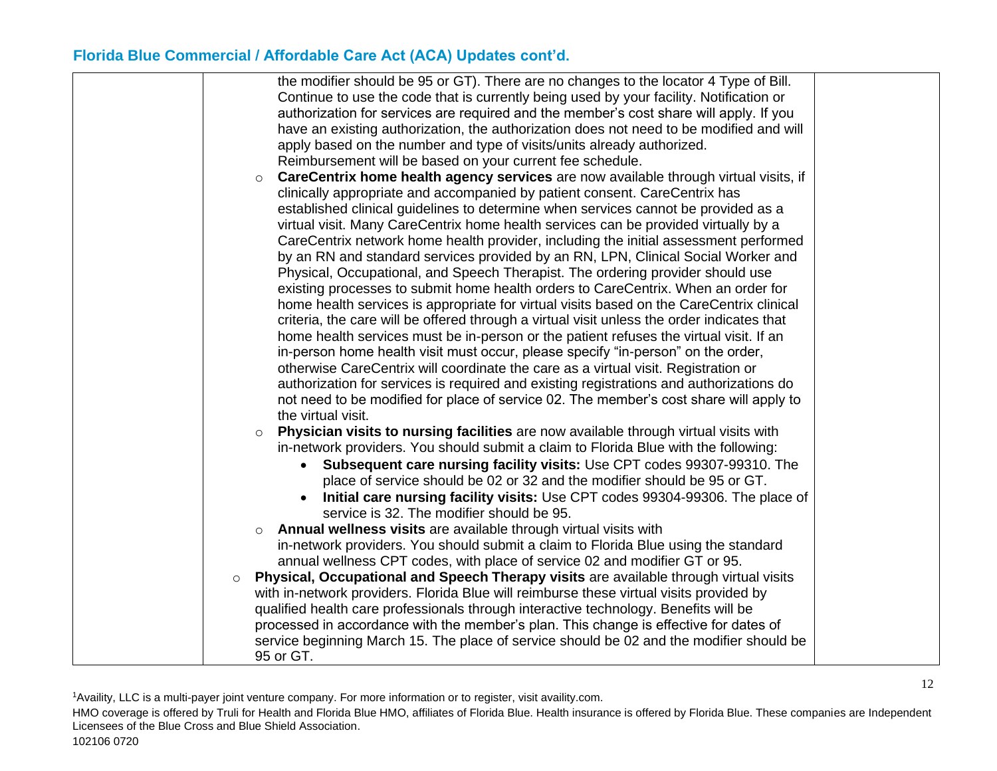| the modifier should be 95 or GT). There are no changes to the locator 4 Type of Bill.                  |  |
|--------------------------------------------------------------------------------------------------------|--|
| Continue to use the code that is currently being used by your facility. Notification or                |  |
| authorization for services are required and the member's cost share will apply. If you                 |  |
| have an existing authorization, the authorization does not need to be modified and will                |  |
| apply based on the number and type of visits/units already authorized.                                 |  |
| Reimbursement will be based on your current fee schedule.                                              |  |
| <b>CareCentrix home health agency services</b> are now available through virtual visits, if<br>$\circ$ |  |
| clinically appropriate and accompanied by patient consent. CareCentrix has                             |  |
| established clinical guidelines to determine when services cannot be provided as a                     |  |
| virtual visit. Many CareCentrix home health services can be provided virtually by a                    |  |
| CareCentrix network home health provider, including the initial assessment performed                   |  |
| by an RN and standard services provided by an RN, LPN, Clinical Social Worker and                      |  |
| Physical, Occupational, and Speech Therapist. The ordering provider should use                         |  |
| existing processes to submit home health orders to CareCentrix. When an order for                      |  |
| home health services is appropriate for virtual visits based on the CareCentrix clinical               |  |
| criteria, the care will be offered through a virtual visit unless the order indicates that             |  |
| home health services must be in-person or the patient refuses the virtual visit. If an                 |  |
| in-person home health visit must occur, please specify "in-person" on the order,                       |  |
| otherwise CareCentrix will coordinate the care as a virtual visit. Registration or                     |  |
| authorization for services is required and existing registrations and authorizations do                |  |
| not need to be modified for place of service 02. The member's cost share will apply to                 |  |
| the virtual visit.                                                                                     |  |
| Physician visits to nursing facilities are now available through virtual visits with<br>$\circ$        |  |
| in-network providers. You should submit a claim to Florida Blue with the following:                    |  |
| • Subsequent care nursing facility visits: Use CPT codes 99307-99310. The                              |  |
| place of service should be 02 or 32 and the modifier should be 95 or GT.                               |  |
| Initial care nursing facility visits: Use CPT codes 99304-99306. The place of<br>$\bullet$             |  |
| service is 32. The modifier should be 95.                                                              |  |
| <b>Annual wellness visits</b> are available through virtual visits with<br>$\circ$                     |  |
| in-network providers. You should submit a claim to Florida Blue using the standard                     |  |
| annual wellness CPT codes, with place of service 02 and modifier GT or 95.                             |  |
| Physical, Occupational and Speech Therapy visits are available through virtual visits<br>$\circ$       |  |
| with in-network providers. Florida Blue will reimburse these virtual visits provided by                |  |
| qualified health care professionals through interactive technology. Benefits will be                   |  |
| processed in accordance with the member's plan. This change is effective for dates of                  |  |
| service beginning March 15. The place of service should be 02 and the modifier should be               |  |
| 95 or GT.                                                                                              |  |

<sup>1</sup>Availity, LLC is a multi-payer joint venture company. For more information or to register, visit availity.com.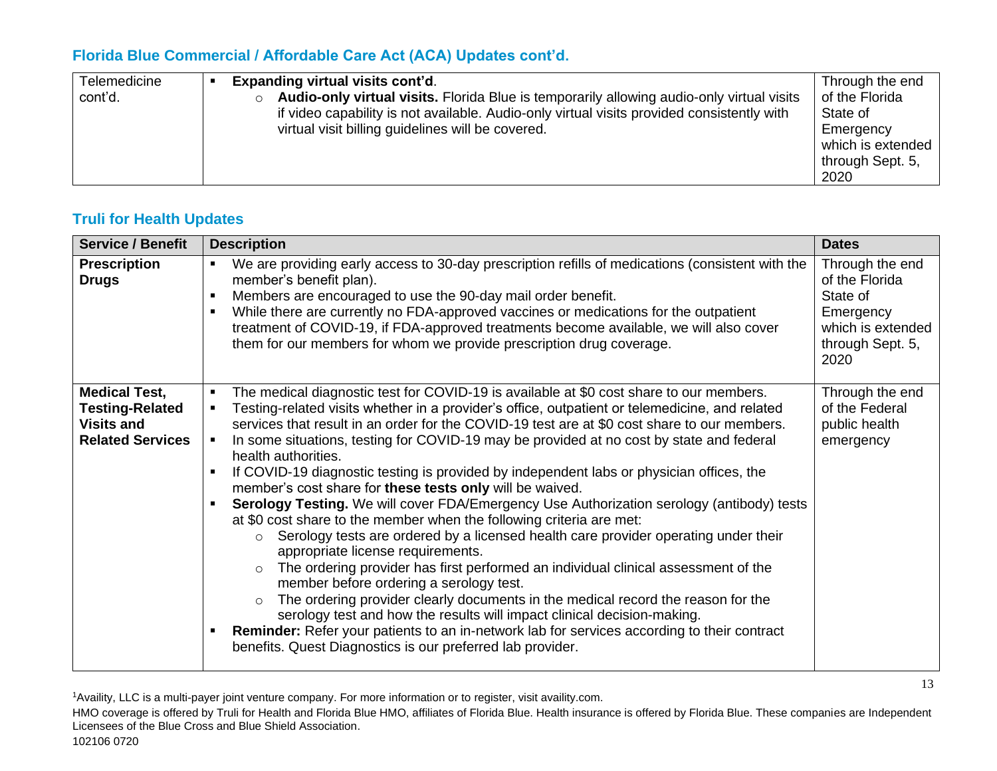| Telemedicine | <b>Expanding virtual visits cont'd.</b>                                                              | Through the end   |
|--------------|------------------------------------------------------------------------------------------------------|-------------------|
| cont'd.      | Audio-only virtual visits. Florida Blue is temporarily allowing audio-only virtual visits<br>$\circ$ | of the Florida    |
|              | if video capability is not available. Audio-only virtual visits provided consistently with           | State of          |
|              | virtual visit billing guidelines will be covered.                                                    | Emergency         |
|              |                                                                                                      | which is extended |
|              |                                                                                                      | through Sept. 5,  |
|              |                                                                                                      | 2020              |

#### **Truli for Health Updates**

| <b>Service / Benefit</b>                                                                       | <b>Description</b>                                                                                                                                                                                                                                                                                                                                                                                                                                                                                                                                                                                                                                                                                                                                                                                                                                                                                                                                                                                                                                                                                                                                                                                                                                                                                                                                                                                                       | <b>Dates</b>                                                                                                |
|------------------------------------------------------------------------------------------------|--------------------------------------------------------------------------------------------------------------------------------------------------------------------------------------------------------------------------------------------------------------------------------------------------------------------------------------------------------------------------------------------------------------------------------------------------------------------------------------------------------------------------------------------------------------------------------------------------------------------------------------------------------------------------------------------------------------------------------------------------------------------------------------------------------------------------------------------------------------------------------------------------------------------------------------------------------------------------------------------------------------------------------------------------------------------------------------------------------------------------------------------------------------------------------------------------------------------------------------------------------------------------------------------------------------------------------------------------------------------------------------------------------------------------|-------------------------------------------------------------------------------------------------------------|
| <b>Prescription</b><br><b>Drugs</b>                                                            | We are providing early access to 30-day prescription refills of medications (consistent with the<br>$\blacksquare$<br>member's benefit plan).<br>Members are encouraged to use the 90-day mail order benefit.<br>$\blacksquare$<br>While there are currently no FDA-approved vaccines or medications for the outpatient<br>٠<br>treatment of COVID-19, if FDA-approved treatments become available, we will also cover<br>them for our members for whom we provide prescription drug coverage.                                                                                                                                                                                                                                                                                                                                                                                                                                                                                                                                                                                                                                                                                                                                                                                                                                                                                                                           | Through the end<br>of the Florida<br>State of<br>Emergency<br>which is extended<br>through Sept. 5,<br>2020 |
| <b>Medical Test,</b><br><b>Testing-Related</b><br><b>Visits and</b><br><b>Related Services</b> | The medical diagnostic test for COVID-19 is available at \$0 cost share to our members.<br>$\blacksquare$<br>Testing-related visits whether in a provider's office, outpatient or telemedicine, and related<br>٠<br>services that result in an order for the COVID-19 test are at \$0 cost share to our members.<br>In some situations, testing for COVID-19 may be provided at no cost by state and federal<br>$\blacksquare$<br>health authorities.<br>If COVID-19 diagnostic testing is provided by independent labs or physician offices, the<br>member's cost share for these tests only will be waived.<br>Serology Testing. We will cover FDA/Emergency Use Authorization serology (antibody) tests<br>at \$0 cost share to the member when the following criteria are met:<br>Serology tests are ordered by a licensed health care provider operating under their<br>$\circ$<br>appropriate license requirements.<br>The ordering provider has first performed an individual clinical assessment of the<br>$\circ$<br>member before ordering a serology test.<br>The ordering provider clearly documents in the medical record the reason for the<br>$\circ$<br>serology test and how the results will impact clinical decision-making.<br><b>Reminder:</b> Refer your patients to an in-network lab for services according to their contract<br>٠<br>benefits. Quest Diagnostics is our preferred lab provider. | Through the end<br>of the Federal<br>public health<br>emergency                                             |

<sup>1</sup>Availity, LLC is a multi-payer joint venture company. For more information or to register, visit availity.com.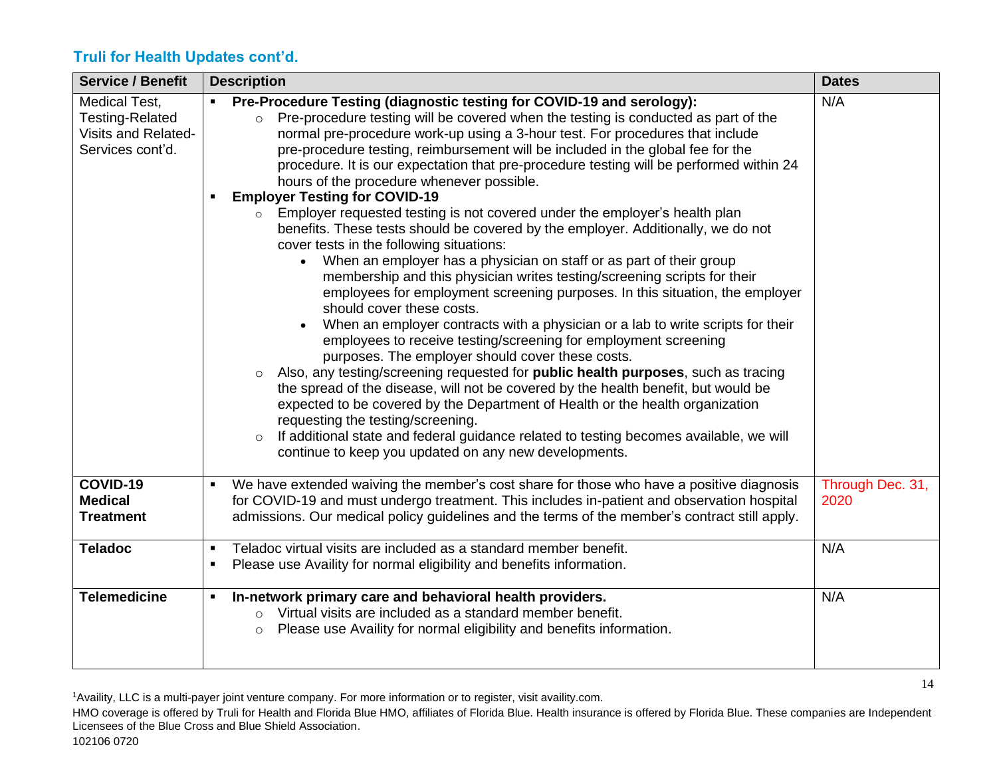# **Truli for Health Updates cont'd.**

| <b>Service / Benefit</b>                                                           | <b>Description</b>                                                                                                                                                                                                                                                                                                                                                                                                                                                                                                                                                                                                                                                                                                                                                                                                                                                                                                                                                                                                                                                                                                                                                                                                                                                                                                                                                                                                                                                                                                                                                                                                                                                                                                           | <b>Dates</b>             |
|------------------------------------------------------------------------------------|------------------------------------------------------------------------------------------------------------------------------------------------------------------------------------------------------------------------------------------------------------------------------------------------------------------------------------------------------------------------------------------------------------------------------------------------------------------------------------------------------------------------------------------------------------------------------------------------------------------------------------------------------------------------------------------------------------------------------------------------------------------------------------------------------------------------------------------------------------------------------------------------------------------------------------------------------------------------------------------------------------------------------------------------------------------------------------------------------------------------------------------------------------------------------------------------------------------------------------------------------------------------------------------------------------------------------------------------------------------------------------------------------------------------------------------------------------------------------------------------------------------------------------------------------------------------------------------------------------------------------------------------------------------------------------------------------------------------------|--------------------------|
| Medical Test,<br><b>Testing-Related</b><br>Visits and Related-<br>Services cont'd. | Pre-Procedure Testing (diagnostic testing for COVID-19 and serology):<br>Pre-procedure testing will be covered when the testing is conducted as part of the<br>$\circ$<br>normal pre-procedure work-up using a 3-hour test. For procedures that include<br>pre-procedure testing, reimbursement will be included in the global fee for the<br>procedure. It is our expectation that pre-procedure testing will be performed within 24<br>hours of the procedure whenever possible.<br><b>Employer Testing for COVID-19</b><br>Employer requested testing is not covered under the employer's health plan<br>$\circ$<br>benefits. These tests should be covered by the employer. Additionally, we do not<br>cover tests in the following situations:<br>When an employer has a physician on staff or as part of their group<br>$\bullet$<br>membership and this physician writes testing/screening scripts for their<br>employees for employment screening purposes. In this situation, the employer<br>should cover these costs.<br>When an employer contracts with a physician or a lab to write scripts for their<br>employees to receive testing/screening for employment screening<br>purposes. The employer should cover these costs.<br>Also, any testing/screening requested for <b>public health purposes</b> , such as tracing<br>$\circ$<br>the spread of the disease, will not be covered by the health benefit, but would be<br>expected to be covered by the Department of Health or the health organization<br>requesting the testing/screening.<br>If additional state and federal guidance related to testing becomes available, we will<br>$\circ$<br>continue to keep you updated on any new developments. | N/A                      |
| COVID-19<br><b>Medical</b><br><b>Treatment</b>                                     | We have extended waiving the member's cost share for those who have a positive diagnosis<br>for COVID-19 and must undergo treatment. This includes in-patient and observation hospital<br>admissions. Our medical policy guidelines and the terms of the member's contract still apply.                                                                                                                                                                                                                                                                                                                                                                                                                                                                                                                                                                                                                                                                                                                                                                                                                                                                                                                                                                                                                                                                                                                                                                                                                                                                                                                                                                                                                                      | Through Dec. 31,<br>2020 |
| <b>Teladoc</b>                                                                     | Teladoc virtual visits are included as a standard member benefit.<br>$\blacksquare$<br>Please use Availity for normal eligibility and benefits information.                                                                                                                                                                                                                                                                                                                                                                                                                                                                                                                                                                                                                                                                                                                                                                                                                                                                                                                                                                                                                                                                                                                                                                                                                                                                                                                                                                                                                                                                                                                                                                  | N/A                      |
| <b>Telemedicine</b>                                                                | In-network primary care and behavioral health providers.<br>o Virtual visits are included as a standard member benefit.<br>Please use Availity for normal eligibility and benefits information.<br>$\circ$                                                                                                                                                                                                                                                                                                                                                                                                                                                                                                                                                                                                                                                                                                                                                                                                                                                                                                                                                                                                                                                                                                                                                                                                                                                                                                                                                                                                                                                                                                                   | N/A                      |

<sup>1</sup>Availity, LLC is a multi-payer joint venture company. For more information or to register, visit availity.com.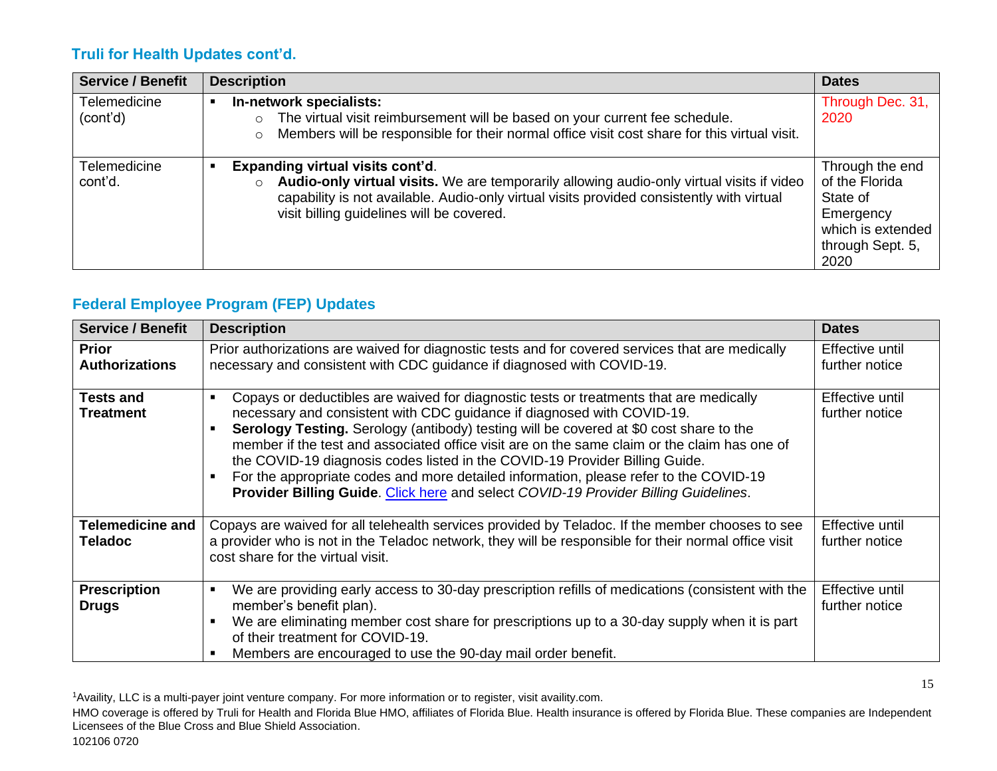#### **Truli for Health Updates cont'd.**

| <b>Service / Benefit</b>        | <b>Description</b>                                                                                                                                                                                                                                                      | <b>Dates</b>                                                                                                |
|---------------------------------|-------------------------------------------------------------------------------------------------------------------------------------------------------------------------------------------------------------------------------------------------------------------------|-------------------------------------------------------------------------------------------------------------|
| <b>Telemedicine</b><br>(cont'd) | In-network specialists:<br>The virtual visit reimbursement will be based on your current fee schedule.<br>Members will be responsible for their normal office visit cost share for this virtual visit.<br>$\circ$                                                       | Through Dec. 31,<br>2020                                                                                    |
| Telemedicine<br>cont'd.         | Expanding virtual visits cont'd.<br>Audio-only virtual visits. We are temporarily allowing audio-only virtual visits if video<br>capability is not available. Audio-only virtual visits provided consistently with virtual<br>visit billing guidelines will be covered. | Through the end<br>of the Florida<br>State of<br>Emergency<br>which is extended<br>through Sept. 5,<br>2020 |

# **Federal Employee Program (FEP) Updates**

| <b>Service / Benefit</b>                  | <b>Description</b>                                                                                                                                                                                                                                                                                                                                                                                                                                                                                                                                                                                                        | <b>Dates</b>                      |
|-------------------------------------------|---------------------------------------------------------------------------------------------------------------------------------------------------------------------------------------------------------------------------------------------------------------------------------------------------------------------------------------------------------------------------------------------------------------------------------------------------------------------------------------------------------------------------------------------------------------------------------------------------------------------------|-----------------------------------|
| <b>Prior</b><br><b>Authorizations</b>     | Prior authorizations are waived for diagnostic tests and for covered services that are medically<br>necessary and consistent with CDC guidance if diagnosed with COVID-19.                                                                                                                                                                                                                                                                                                                                                                                                                                                | Effective until<br>further notice |
| Tests and<br><b>Treatment</b>             | Copays or deductibles are waived for diagnostic tests or treatments that are medically<br>necessary and consistent with CDC guidance if diagnosed with COVID-19.<br>Serology Testing. Serology (antibody) testing will be covered at \$0 cost share to the<br>member if the test and associated office visit are on the same claim or the claim has one of<br>the COVID-19 diagnosis codes listed in the COVID-19 Provider Billing Guide.<br>For the appropriate codes and more detailed information, please refer to the COVID-19<br>Provider Billing Guide. Click here and select COVID-19 Provider Billing Guidelines. | Effective until<br>further notice |
| <b>Telemedicine and</b><br><b>Teladoc</b> | Copays are waived for all telehealth services provided by Teladoc. If the member chooses to see<br>a provider who is not in the Teladoc network, they will be responsible for their normal office visit<br>cost share for the virtual visit.                                                                                                                                                                                                                                                                                                                                                                              | Effective until<br>further notice |
| <b>Prescription</b><br><b>Drugs</b>       | We are providing early access to 30-day prescription refills of medications (consistent with the<br>member's benefit plan).<br>We are eliminating member cost share for prescriptions up to a 30-day supply when it is part<br>of their treatment for COVID-19.<br>Members are encouraged to use the 90-day mail order benefit.                                                                                                                                                                                                                                                                                           | Effective until<br>further notice |

<sup>1</sup>Availity, LLC is a multi-payer joint venture company. For more information or to register, visit availity.com.